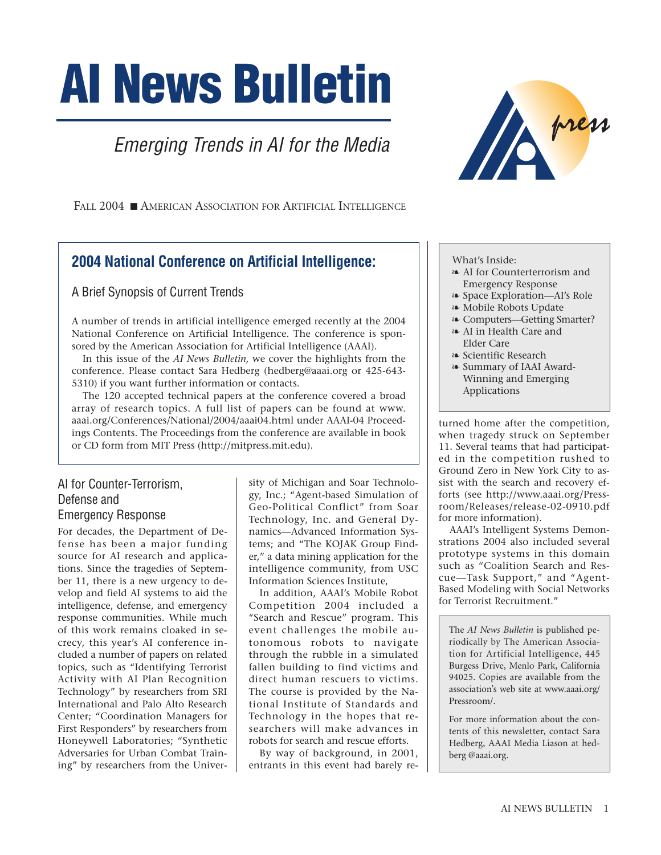# **AI News Bulletin**

## Emerging Trends in AI for the Media



FALL 2004 ■ AMERICAN ASSOCIATION FOR ARTIFICIAL INTELLIGENCE

### **2004 National Conference on Artificial Intelligence:**

A Brief Synopsis of Current Trends

A number of trends in artificial intelligence emerged recently at the 2004 National Conference on Artificial Intelligence. The conference is sponsored by the American Association for Artificial Intelligence (AAAI).

In this issue of the *AI News Bulletin,* we cover the highlights from the conference. Please contact Sara Hedberg (hedberg@aaai.org or 425-643- 5310) if you want further information or contacts.

The 120 accepted technical papers at the conference covered a broad array of research topics. A full list of papers can be found at www. aaai.org/Conferences/National/2004/aaai04.html under AAAI-04 Proceedings Contents. The Proceedings from the conference are available in book or CD form from MIT Press (http://mitpress.mit.edu).

#### AI for Counter-Terrorism, Defense and Emergency Response

For decades, the Department of Defense has been a major funding source for AI research and applications. Since the tragedies of September 11, there is a new urgency to develop and field AI systems to aid the intelligence, defense, and emergency response communities. While much of this work remains cloaked in secrecy, this year's AI conference included a number of papers on related topics, such as "Identifying Terrorist Activity with AI Plan Recognition Technology" by researchers from SRI International and Palo Alto Research Center; "Coordination Managers for First Responders" by researchers from Honeywell Laboratories; "Synthetic Adversaries for Urban Combat Training" by researchers from the Univer-

sity of Michigan and Soar Technology, Inc.; "Agent-based Simulation of Geo-Political Conflict" from Soar Technology, Inc. and General Dynamics—Advanced Information Systems; and "The KOJAK Group Finder," a data mining application for the intelligence community, from USC Information Sciences Institute,

In addition, AAAI's Mobile Robot Competition 2004 included a "Search and Rescue" program. This event challenges the mobile autonomous robots to navigate through the rubble in a simulated fallen building to find victims and direct human rescuers to victims. The course is provided by the National Institute of Standards and Technology in the hopes that researchers will make advances in robots for search and rescue efforts.

By way of background, in 2001, entrants in this event had barely re-

#### What's Inside:

- ❧ AI for Counterterrorism and Emergency Response
- ❧ Space Exploration—AI's Role
- ❧ Mobile Robots Update
- ❧ Computers—Getting Smarter?
- ❧ AI in Health Care and Elder Care
- ❧ Scientific Research
- ❧ Summary of IAAI Award-Winning and Emerging Applications

turned home after the competition, when tragedy struck on September 11. Several teams that had participated in the competition rushed to Ground Zero in New York City to assist with the search and recovery efforts (see http://www.aaai.org/Pressroom/Releases/release-02-0910.pdf for more information).

AAAI's Intelligent Systems Demonstrations 2004 also included several prototype systems in this domain such as "Coalition Search and Rescue—Task Support," and "Agent-Based Modeling with Social Networks for Terrorist Recruitment."

The *AI News Bulletin* is published periodically by The American Association for Artificial Intelligence, 445 Burgess Drive, Menlo Park, California 94025. Copies are available from the association's web site at www.aaai.org/ Pressroom/.

For more information about the contents of this newsletter, contact Sara Hedberg, AAAI Media Liason at hedberg @aaai.org.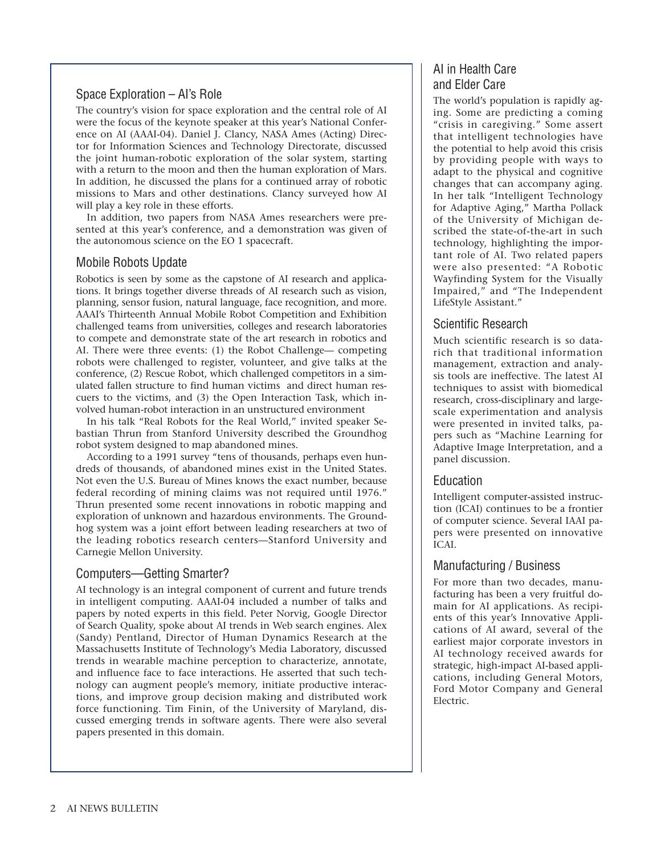#### Space Exploration – AI's Role

The country's vision for space exploration and the central role of AI were the focus of the keynote speaker at this year's National Conference on AI (AAAI-04). Daniel J. Clancy, NASA Ames (Acting) Director for Information Sciences and Technology Directorate, discussed the joint human-robotic exploration of the solar system, starting with a return to the moon and then the human exploration of Mars. In addition, he discussed the plans for a continued array of robotic missions to Mars and other destinations. Clancy surveyed how AI will play a key role in these efforts.

In addition, two papers from NASA Ames researchers were presented at this year's conference, and a demonstration was given of the autonomous science on the EO 1 spacecraft.

#### Mobile Robots Update

Robotics is seen by some as the capstone of AI research and applications. It brings together diverse threads of AI research such as vision, planning, sensor fusion, natural language, face recognition, and more. AAAI's Thirteenth Annual Mobile Robot Competition and Exhibition challenged teams from universities, colleges and research laboratories to compete and demonstrate state of the art research in robotics and AI. There were three events: (1) the Robot Challenge— competing robots were challenged to register, volunteer, and give talks at the conference, (2) Rescue Robot, which challenged competitors in a simulated fallen structure to find human victims and direct human rescuers to the victims, and (3) the Open Interaction Task, which involved human-robot interaction in an unstructured environment

In his talk "Real Robots for the Real World," invited speaker Sebastian Thrun from Stanford University described the Groundhog robot system designed to map abandoned mines.

According to a 1991 survey "tens of thousands, perhaps even hundreds of thousands, of abandoned mines exist in the United States. Not even the U.S. Bureau of Mines knows the exact number, because federal recording of mining claims was not required until 1976." Thrun presented some recent innovations in robotic mapping and exploration of unknown and hazardous environments. The Groundhog system was a joint effort between leading researchers at two of the leading robotics research centers—Stanford University and Carnegie Mellon University.

#### Computers—Getting Smarter?

AI technology is an integral component of current and future trends in intelligent computing. AAAI-04 included a number of talks and papers by noted experts in this field. Peter Norvig, Google Director of Search Quality, spoke about AI trends in Web search engines. Alex (Sandy) Pentland, Director of Human Dynamics Research at the Massachusetts Institute of Technology's Media Laboratory, discussed trends in wearable machine perception to characterize, annotate, and influence face to face interactions. He asserted that such technology can augment people's memory, initiate productive interactions, and improve group decision making and distributed work force functioning. Tim Finin, of the University of Maryland, discussed emerging trends in software agents. There were also several papers presented in this domain.

#### AI in Health Care and Elder Care

The world's population is rapidly aging. Some are predicting a coming "crisis in caregiving." Some assert that intelligent technologies have the potential to help avoid this crisis by providing people with ways to adapt to the physical and cognitive changes that can accompany aging. In her talk "Intelligent Technology for Adaptive Aging," Martha Pollack of the University of Michigan described the state-of-the-art in such technology, highlighting the important role of AI. Two related papers were also presented: "A Robotic Wayfinding System for the Visually Impaired," and "The Independent LifeStyle Assistant."

#### Scientific Research

Much scientific research is so datarich that traditional information management, extraction and analysis tools are ineffective. The latest AI techniques to assist with biomedical research, cross-disciplinary and largescale experimentation and analysis were presented in invited talks, papers such as "Machine Learning for Adaptive Image Interpretation, and a panel discussion.

#### Education

Intelligent computer-assisted instruction (ICAI) continues to be a frontier of computer science. Several IAAI papers were presented on innovative ICAI.

#### Manufacturing / Business

For more than two decades, manufacturing has been a very fruitful domain for AI applications. As recipients of this year's Innovative Applications of AI award, several of the earliest major corporate investors in AI technology received awards for strategic, high-impact AI-based applications, including General Motors, Ford Motor Company and General Electric.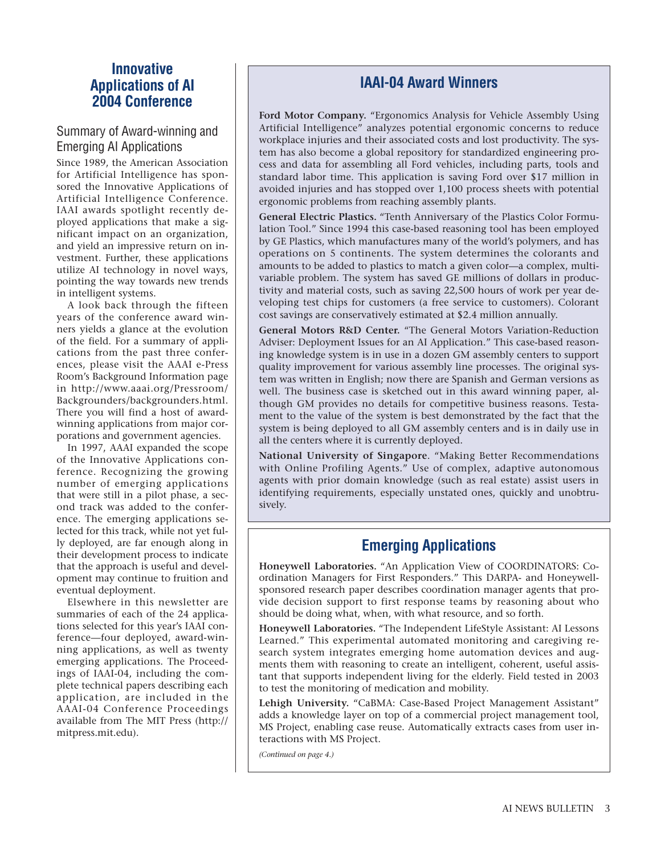#### **Innovative Applications of AI 2004 Conference**

#### Summary of Award-winning and Emerging AI Applications

Since 1989, the American Association for Artificial Intelligence has sponsored the Innovative Applications of Artificial Intelligence Conference. IAAI awards spotlight recently deployed applications that make a significant impact on an organization, and yield an impressive return on investment. Further, these applications utilize AI technology in novel ways, pointing the way towards new trends in intelligent systems.

A look back through the fifteen years of the conference award winners yields a glance at the evolution of the field. For a summary of applications from the past three conferences, please visit the AAAI e-Press Room's Background Information page in http://www.aaai.org/Pressroom/ Backgrounders/backgrounders.html. There you will find a host of awardwinning applications from major corporations and government agencies.

In 1997, AAAI expanded the scope of the Innovative Applications conference. Recognizing the growing number of emerging applications that were still in a pilot phase, a second track was added to the conference. The emerging applications selected for this track, while not yet fully deployed, are far enough along in their development process to indicate that the approach is useful and development may continue to fruition and eventual deployment.

Elsewhere in this newsletter are summaries of each of the 24 applications selected for this year's IAAI conference—four deployed, award-winning applications, as well as twenty emerging applications. The Proceedings of IAAI-04, including the complete technical papers describing each application, are included in the AAAI-04 Conference Proceedings available from The MIT Press (http:// mitpress.mit.edu).

#### **IAAI-04 Award Winners**

**Ford Motor Company.** "Ergonomics Analysis for Vehicle Assembly Using Artificial Intelligence" analyzes potential ergonomic concerns to reduce workplace injuries and their associated costs and lost productivity. The system has also become a global repository for standardized engineering process and data for assembling all Ford vehicles, including parts, tools and standard labor time. This application is saving Ford over \$17 million in avoided injuries and has stopped over 1,100 process sheets with potential ergonomic problems from reaching assembly plants.

**General Electric Plastics.** "Tenth Anniversary of the Plastics Color Formulation Tool." Since 1994 this case-based reasoning tool has been employed by GE Plastics, which manufactures many of the world's polymers, and has operations on 5 continents. The system determines the colorants and amounts to be added to plastics to match a given color—a complex, multivariable problem. The system has saved GE millions of dollars in productivity and material costs, such as saving 22,500 hours of work per year developing test chips for customers (a free service to customers). Colorant cost savings are conservatively estimated at \$2.4 million annually.

**General Motors R&D Center.** "The General Motors Variation-Reduction Adviser: Deployment Issues for an AI Application." This case-based reasoning knowledge system is in use in a dozen GM assembly centers to support quality improvement for various assembly line processes. The original system was written in English; now there are Spanish and German versions as well. The business case is sketched out in this award winning paper, although GM provides no details for competitive business reasons. Testament to the value of the system is best demonstrated by the fact that the system is being deployed to all GM assembly centers and is in daily use in all the centers where it is currently deployed.

**National University of Singapore**. "Making Better Recommendations with Online Profiling Agents." Use of complex, adaptive autonomous agents with prior domain knowledge (such as real estate) assist users in identifying requirements, especially unstated ones, quickly and unobtrusively.

### **Emerging Applications**

**Honeywell Laboratories.** "An Application View of COORDINATORS: Coordination Managers for First Responders." This DARPA- and Honeywellsponsored research paper describes coordination manager agents that provide decision support to first response teams by reasoning about who should be doing what, when, with what resource, and so forth.

**Honeywell Laboratories.** "The Independent LifeStyle Assistant: AI Lessons Learned." This experimental automated monitoring and caregiving research system integrates emerging home automation devices and augments them with reasoning to create an intelligent, coherent, useful assistant that supports independent living for the elderly. Field tested in 2003 to test the monitoring of medication and mobility.

**Lehigh University.** "CaBMA: Case-Based Project Management Assistant" adds a knowledge layer on top of a commercial project management tool, MS Project, enabling case reuse. Automatically extracts cases from user interactions with MS Project.

*(Continued on page 4.)*